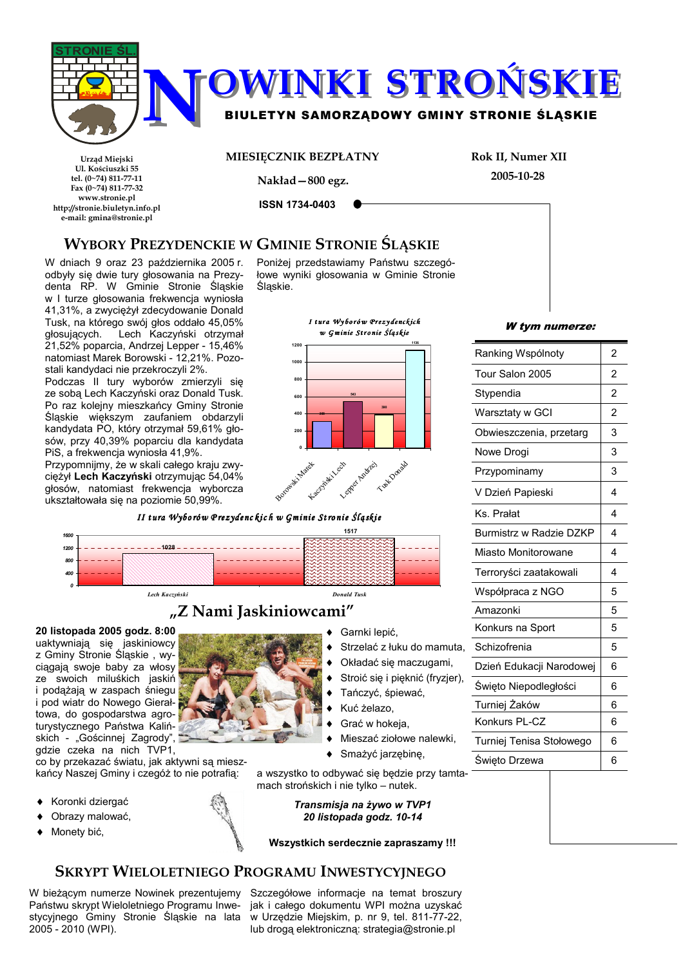| <b>TOWINKI STRONSKIE</b><br>BIULETYN SAMORZĄDOWY GMINY STRONIE ŚLĄSKIE |
|------------------------------------------------------------------------|
|                                                                        |

Urząd Miejski Ul. Kościuszki 55 tel. (0~74) 811-77-11 Fax  $(0 - 74)$  811-77-32 www.stronie.pl http://stronie.biuletyn.info.pl e-mail: gmina@stronie.pl

MIESIĘCZNIK BEZPŁATNY

Rok II, Numer XII

Nakład-800 egz.

2005-10-28

**ISSN 1734-0403** 

#### Wybory Prezydenckie w Gminie Stronie Ślaskie

W dniach 9 oraz 23 października 2005 r. odbyły się dwie tury głosowania na Prezydenta RP. W Gminie Stronie Ślaskie w I turze głosowania frekwencia wyniosła 41,31%, a zwyciężył zdecydowanie Donald Tusk, na którego swój głos oddało 45,05% głosujących. Lech Kaczyński otrzymał 21,52% poparcia, Andrzej Lepper - 15,46% natomiast Marek Borowski - 12.21%. Pozostali kandydaci nie przekroczyli 2%.

Podczas II tury wyborów zmierzyli się ze sobą Lech Kaczyński oraz Donald Tusk. Po raz kolejny mieszkańcy Gminy Stronie Śląskie większym zaufaniem obdarzyli kandydata PO, który otrzymał 59,61% głosów, przy 40,39% poparciu dla kandydata PiS, a frekwencja wyniosła 41,9%.

Przypomnijmy, że w skali całego kraju zwycieżył Lech Kaczyński otrzymując 54,04% głosów, natomiast frekwencja wyborcza ukształtowała się na poziomie 50,99%.

Poniżej przedstawiamy Państwu szczegółowe wyniki głosowania w Gminie Stronie Ślaskie.



II tura Wyborów Prezydenckich w Gminie Stronie Śląskie



# "Z Nami Jaskiniowcami"

20 listopada 2005 godz. 8:00 uaktywniają się jaskiniowcy z Gminy Stronie Śląskie, wyciagaja swoje baby za włosy ze swoich miluśkich jaskiń i podążają w zaspach śniegu i pod wiatr do Nowego Gierałtowa, do gospodarstwa agroturystycznego Państwa Kalińskich - "Gościnnej Zagrody", qdzie czeka na nich TVP1,

co by przekazać światu, jak aktywni są mieszkańcy Naszej Gminy i czegóż to nie potrafia:

- Koronki dziergać
- Obrazy malować,
- Monety bić,



- Okładać się maczugami,
	- Stroić się i pięknić (fryzjer),
	-

Garnki lepić.

- 
- 
- $\bullet$

mach strońskich i nie tvlko - nutek.

Transmisja na żywo w TVP1 20 listopada godz. 10-14

- Tańczyć, śpiewać,
- 
- Grać w hokeia.
- 
- 

Mieszać ziołowe nalewki, Smażyć jarzębinę,

Strzelać z łuku do mamuta,

# a wszystko to odbywać się będzie przy tamta-

Wszystkich serdecznie zapraszamy !!!

## Kuć żelazo,



#### **W** tym numerze:

| Ranking Wspólnoty              | $\overline{2}$ |
|--------------------------------|----------------|
| Tour Salon 2005                | $\overline{2}$ |
| Stypendia                      | $\overline{2}$ |
| Warsztaty w GCI                | $\overline{2}$ |
| Obwieszczenia, przetarg        | 3              |
| Nowe Drogi                     | 3              |
| Przypominamy                   | 3              |
| V Dzień Papieski               | 4              |
| Ks. Prałat                     | 4              |
| <b>Burmistrz w Radzie DZKP</b> | 4              |
| Miasto Monitorowane            | 4              |
| Terroryści zaatakowali         | 4              |
| Współpraca z NGO               | 5              |
| Amazonki                       | 5              |
| Konkurs na Sport               | 5              |
| Schizofrenia                   | 5              |
| Dzień Edukacji Narodowej       | 6              |
| Święto Niepodległości          | 6              |
| Turniej Żaków                  | 6              |
| Konkurs PL-CZ                  | 6              |
| Turniej Tenisa Stołowego       | 6              |
| Święto Drzewa                  | 6              |

# **SKRYPT WIELOLETNIEGO PROGRAMU INWESTYCYJNEGO**

W bieżącym numerze Nowinek prezentujemy Państwu skrypt Wieloletniego Programu Inwestycyjnego Gminy Stronie Śląskie na lata 2005 - 2010 (WPI).

Szczegółowe informacje na temat broszury jak i całego dokumentu WPI można uzyskać w Urzędzie Miejskim, p. nr 9, tel. 811-77-22, lub drogą elektroniczną: strategia@stronie.pl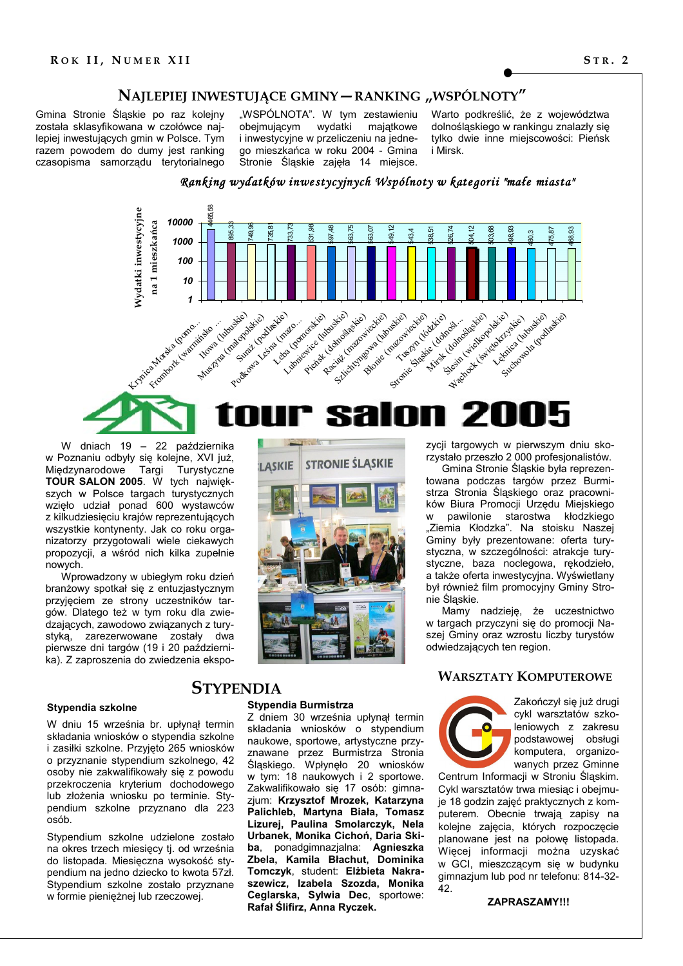#### NAJLEPIEJ INWESTUJĄCE GMINY – RANKING "WSPÓLNOTY"

Gmina Stronie Śląskie po raz kolejny została sklasvfikowana w czołówce najlepiej inwestujących gmin w Polsce. Tym razem powodem do dumy jest ranking czasopisma samorządu terytorialnego

"WSPÓLNOTA". W tym zestawieniu obeimujacym wydatki majatkowe i inwestycyjne w przeliczeniu na jednego mieszkańca w roku 2004 - Gmina Stronie Śląskie zajęła 14 miejsce.

Warto podkreślić, że z województwa dolnoślaskiego w rankingu znalazły się tylko dwie inne miejscowości: Pieńsk i Mirsk.

#### Ranking wydatków inwestycyjnych Wspólnoty w kategorii "małe miasta"



W dniach 19 - 22 października w Poznaniu odbyły się kolejne, XVI już,<br>Międzynarodowe Targi Turystyczne TOUR SALON 2005. W tych największych w Polsce targach turystycznych wzięło udział ponad 600 wystawców z kilkudziesięciu krajów reprezentujących wszystkie kontynenty. Jak co roku organizatorzy przygotowali wiele ciekawych propozycji, a wśród nich kilka zupełnie nowych.

Wprowadzony w ubiegłym roku dzień branżowy spotkał się z entuzjastycznym przyjęciem ze strony uczestników targów. Dlatego też w tym roku dla zwiedzających, zawodowo związanych z turystyką, zarezerwowane zostały dwa pierwsze dni targów (19 i 20 października). Z zaproszenia do zwiedzenia ekspo-

# **STRONIE SLASKIE I ASKIE**

zycji targowych w pierwszym dniu skorzystało przeszło 2 000 profesjonalistów.

Gmina Stronie Śląskie była reprezentowana podczas targów przez Burmistrza Stronia Śląskiego oraz pracowników Biura Promocji Urzędu Miejskiego pawilonie starostwa kłodzkiego W "Ziemia Kłodzka". Na stoisku Naszei Gminy były prezentowane: oferta turystyczna, w szczególności: atrakcje turystvczne, baza noclegowa, rękodzieło, a także oferta inwestycyjna. Wyświetlany był również film promocyjny Gminy Stronie Ślaskie.

Mamy nadzieję, że uczestnictwo w targach przyczyni się do promocji Naszei Gminy oraz wzrostu liczby turystów odwiedzających ten region.

#### **WARSZTATY KOMPUTEROWE**



W dniu 15 września br. upłynał termin składania wniosków o stypendia szkolne i zasiłki szkolne. Przyjęto 265 wniosków o przyznanie stypendium szkolnego, 42 osoby nie zakwalifikowały się z powodu przekroczenia kryterium dochodowego lub złożenia wniosku po terminie. Stypendium szkolne przyznano dla 223  $os<sub>0</sub>$ 

Stypendium szkolne udzielone zostało na okres trzech miesiecy tj. od września do listopada. Miesieczna wysokość stypendium na jedno dziecko to kwota 57zł. Stypendium szkolne zostało przyznane w formie pieniężnej lub rzeczowej.

## **STYPENDIA**

#### **Stypendia Burmistrza**

Z dniem 30 września upłynął termin składania wniosków o stypendium naukowe, sportowe, artystyczne przyznawane przez Burmistrza Stronia Śląskiego. Wpłynęło 20 wniosków w tym: 18 naukowych i 2 sportowe. Zakwalifikowało się 17 osób: gimnazjum: Krzysztof Mrozek, Katarzyna Palichleb, Martyna Biała, Tomasz Lizurej, Paulina Smolarczyk, Nela Urbanek, Monika Cichoń, Daria Skiba, ponadgimnazjalna: Agnieszka Zbela, Kamila Błachut, Dominika Tomczyk, student: Elżbieta Nakraszewicz, Izabela Szozda, Monika Ceglarska, Sylwia Dec, sportowe: Rafał Ślifirz, Anna Ryczek.



Zakończył się już drugi cykl warsztatów szkoleniowych z zakresu podstawowej obsługi komputera, organizowanych przez Gminne

Centrum Informacji w Stroniu Śląskim. Cykl warsztatów trwa miesiąc i obejmuje 18 godzin zajęć praktycznych z komputerem. Obecnie trwają zapisy na kolejne zajęcia, których rozpoczęcie planowane jest na połowę listopada. Więcej informacji można uzyskać w GCI, mieszczącym się w budynku gimnazium lub pod nr telefonu: 814-32-42

#### ZAPRASZAMY!!!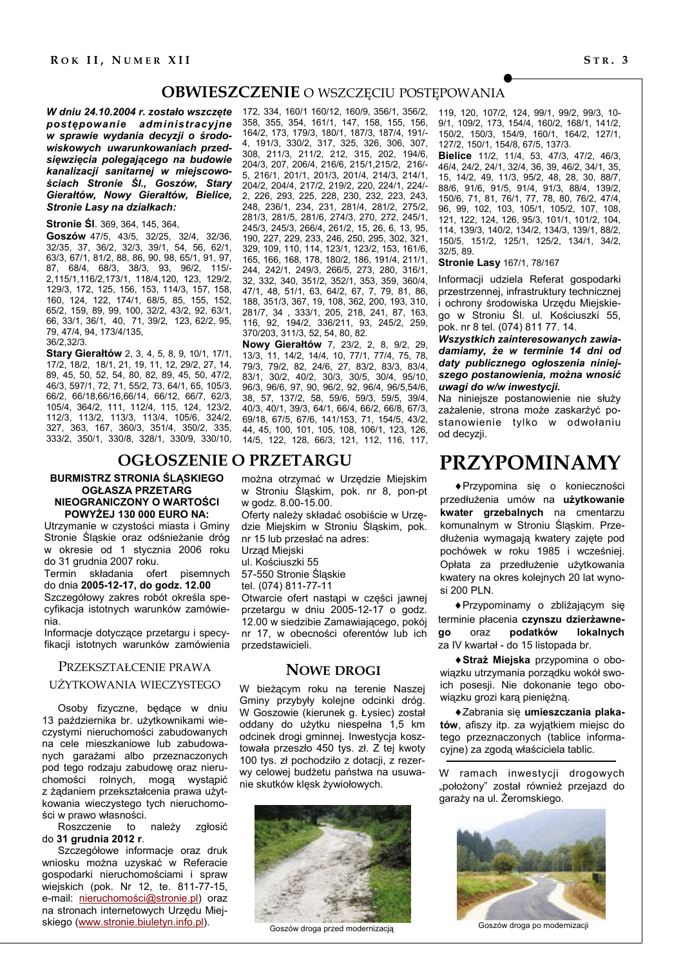#### **OBWIESZCZENIE** O WSZCZĘCIU POSTĘPOWANIA

W dniu 24.10.2004 r. zostało wszczęte postępowanie administracyjne w sprawie wydania decyzii o środowiskowych uwarunkowaniach przedsiewziecia polegającego na budowie kanalizacji sanitarnej w miejscowościach Stronie Śl., Goszów, Stary Gierałtów, Nowy Gierałtów, Bielice, Stronie Lasy na działkach:

#### Stronie Śl. 369, 364, 145, 364,

Goszów 47/5, 43/5, 32/25, 32/4, 32/36, 32/35, 37, 36/2, 32/3, 39/1, 54, 56, 62/1, 63/3, 67/1, 81/2, 88, 86, 90, 98, 65/1, 91, 97, 87, 68/4, 68/3, 38/3, 93, 96/2, 115/-2, 115/1, 116/2, 173/1, 118/4, 120, 123, 129/2, 129/3, 172, 125, 156, 153, 114/3, 157, 158, 160, 124, 122, 174/1, 68/5, 85, 155, 152, 65/2, 159, 89, 99, 100, 32/2, 43/2, 92, 63/1, 66, 33/1, 36/1, 40, 71, 39/2, 123, 62/2, 95, 79, 47/4, 94, 173/4/135, 36/2 32/3

Stary Gierałtów 2, 3, 4, 5, 8, 9, 10/1, 17/1, 17/2, 18/2, 18/1, 21, 19, 11, 12, 29/2, 27, 14, 89, 45, 50, 52, 54, 80, 82, 89, 45, 50, 47/2, 46/3, 597/1, 72, 71, 55/2, 73, 64/1, 65, 105/3, 66/2, 66/18, 66/16, 66/14, 66/12, 66/7, 62/3, 105/4, 364/2, 111, 112/4, 115, 124, 123/2, 112/3, 113/2, 113/3, 113/4, 105/6, 324/2, 327, 363, 167, 360/3, 351/4, 350/2, 335, 333/2, 350/1, 330/8, 328/1, 330/9, 330/10,

#### **BURMISTRZ STRONIA ŚLASKIEGO OGŁASZA PRZETARG** NIEOGRANICZONY O WARTOŚCI POWYŻEJ 130 000 EURO NA:

Utrzymanie w czystości miasta i Gminy Stronie Śląskie oraz odśnieżanie dróg w okresie od 1 stycznia 2006 roku do 31 grudnia 2007 roku.

Termin składania ofert pisemnych do dnia 2005-12-17, do godz. 12.00 Szczegółowy zakres robót określa specyfikacja istotnych warunków zamówienia.

Informacje dotyczące przetargu i specyfikacji istotnych warunków zamówienia

#### PRZEKSZTAŁCENIE PRAWA

#### UŻYTKOWANIA WIECZYSTEGO

Osoby fizyczne, będące w dniu 13 października br. użytkownikami wieczystymi nieruchomości zabudowanych na cele mieszkaniowe lub zabudowanych garażami albo przeznaczonych pod tego rodzaju zabudowę oraz nierumogą wystąpić chomości rolnych, z żądaniem przekształcenia prawa użytkowania wieczystego tych nieruchomości w prawo własności.

Roszczenie  $t_{\Omega}$ należy zgłosić do 31 grudnia 2012 r.

Szczegółowe informacje oraz druk wniosku można uzyskać w Referacie gospodarki nieruchomościami i spraw wiejskich (pok. Nr 12, te. 811-77-15, e-mail: nieruchomości@stronie.pl) oraz na stronach internetowych Urzędu Miejskiego (www.stronie.biuletyn.info.pl).

172, 334, 160/1 160/12, 160/9, 356/1, 356/2, 358, 355, 354, 161/1, 147, 158, 155, 156, 164/2, 173, 179/3, 180/1, 187/3, 187/4, 191/-4, 191/3, 330/2, 317, 325, 326, 306, 307, 308, 211/3, 211/2, 212, 315, 202, 194/6, 204/3, 207, 206/4, 216/6, 215/1, 215/2, 216/-5, 216/1, 201/1, 201/3, 201/4, 214/3, 214/1, 204/2, 204/4, 217/2, 219/2, 220, 224/1, 224/-2, 226, 293, 225, 228, 230, 232, 223, 243, 248, 236/1, 234, 231, 281/4, 281/2, 275/2, 281/3, 281/5, 281/6, 274/3, 270, 272, 245/1, 245/3, 245/3, 266/4, 261/2, 15, 26, 6, 13, 95, 190, 227, 229, 233, 246, 250, 295, 302, 321,  $329. 109. 110. 114. 123/1. 123/2. 153. 161/6.$ 165, 166, 168, 178, 180/2, 186, 191/4, 211/1, 244, 242/1, 249/3, 266/5, 273, 280, 316/1, 32, 332, 340, 351/2, 352/1, 353, 359, 360/4, 47/1, 48, 51/1, 63, 64/2, 67, 7, 79, 81, 86, 188, 351/3, 367, 19, 108, 362, 200, 193, 310, 281/7, 34, 333/1, 205, 218, 241, 87, 163, 116, 92, 194/2, 336/211, 93, 245/2, 259, 370/203, 311/3, 52, 54, 80, 82.

Nowy Gierałtów 7, 23/2, 2, 8, 9/2, 29, 13/3, 11, 14/2, 14/4, 10, 77/1, 77/4, 75, 78, 79/3, 79/2, 82, 24/6, 27, 83/2, 83/3, 83/4,<br>83/1, 30/2, 40/2, 30/3, 30/5, 30/4, 95/10, 96/3, 96/6, 97, 90, 96/2, 92, 96/4, 96/5.54/6, 38, 57, 137/2, 58, 59/6, 59/3, 59/5, 39/4, 40/3, 40/1, 39/3, 64/1, 66/4, 66/2, 66/8, 67/3, 69/18, 67/5, 67/6, 141/153, 71, 154/5, 43/2, 44, 45, 100, 101, 105, 108, 106/1, 123, 126, 14/5, 122, 128, 66/3, 121, 112, 116, 117,

119, 120, 107/2, 124, 99/1, 99/2, 99/3, 10- $9/1$ , 109/2, 173, 154/4, 160/2, 168/1, 141/2, 150/2, 150/3, 154/9, 160/1, 164/2, 127/1, 127/2, 150/1, 154/8, 67/5, 137/3.

Bielice 11/2, 11/4, 53, 47/3, 47/2, 46/3, 46/4, 24/2, 24/1, 32/4, 36, 39, 46/2, 34/1, 35, 15, 14/2, 49, 11/3, 95/2, 48, 28, 30, 88/7, 88/6, 91/6, 91/5, 91/4, 91/3, 88/4, 139/2, 150/6, 71, 81, 76/1, 77, 78, 80, 76/2, 47/4, 96, 99, 102, 103, 105/1, 105/2, 107, 108, 121, 122, 124, 126, 95/3, 101/1, 101/2, 104, 114, 139/3, 140/2, 134/2, 134/3, 139/1, 88/2, 150/5, 151/2, 125/1, 125/2, 134/1, 34/2,  $32/5.89$ 

**Stronie Lasy 167/1, 78/167** 

Informacji udziela Referat gospodarki przestrzennej, infrastruktury technicznej i ochrony środowiska Urzędu Miejskiego w Stroniu Śl. ul. Kościuszki 55, pok. nr 8 tel. (074) 811 77. 14.

Wszystkich zainteresowanych zawiadamiamy, że w terminie 14 dni od daty publicznego ogłoszenia niniejszego postanowienia, można wnosić uwagi do w/w inwestvcii.

Na niniejsze postanowienie nie służy zażalenie, strona może zaskarżyć postanowienie tylko w odwołaniu od decvzji.

# **OGŁOSZENIE O PRZETARGU**

można otrzymać w Urzędzie Miejskim w Stroniu Śląskim, pok. nr 8, pon-pt w godz. 8.00-15.00.

Oferty należy składać osobiście w Urzędzie Miejskim w Stroniu Śląskim, pok. nr 15 lub przesłać na adres:

Urząd Miejski ul. Kościuszki 55

57-550 Stronie Ślaskie

tel. (074) 811-77-11

Otwarcie ofert nastąpi w części jawnej przetargu w dniu 2005-12-17 o godz. 12.00 w siedzibie Zamawiającego, pokój nr 17, w obecności oferentów lub ich przedstawicieli.

#### **NOWE DROGI**

W bieżącym roku na terenie Naszej Gminy przybyły kolejne odcinki dróg. W Goszowie (kierunek g. Łysiec) został oddany do użytku niespełna 1,5 km odcinek drogi gminnej. Inwestycja kosztowała przeszło 450 tys. zł. Z tej kwoty 100 tvs. zł pochodziło z dotacji, z rezerwy celowej budżetu państwa na usuwanie skutków klęsk żywiołowych.



Goszów droga przed modernizacją

# **PRZYPOMINAMY**

◆ Przypomina się o konieczności przedłużenia umów na użytkowanie kwater grzebalnych na cmentarzu komunalnym w Stroniu Śląskim. Przedłużenia wymagają kwatery zajęte pod pochówek w roku 1985 i wcześniej. Opłata za przedłużenie użytkowania kwatery na okres kolejnych 20 lat wynosi 200 PLN.

◆ Przypominamy o zbliżającym się terminie płacenia czynszu dzierżawne $oraz$ podatków lokalnych go za IV kwartał - do 15 listopada br.

+Straż Miejska przypomina o obowiazku utrzymania porzadku wokół swoich posesii. Nie dokonanie tego obowiązku grozi karą pieniężną.

◆ Zabrania się umieszczania plakatów, afiszy itp. za wyjatkiem miejsc do tego przeznaczonych (tablice informacyine) za zgoda właściciela tablic.

W ramach inwestycji drogowych "położony" został również przejazd do garaży na ul. Żeromskiego.



Goszów droga po modernizacji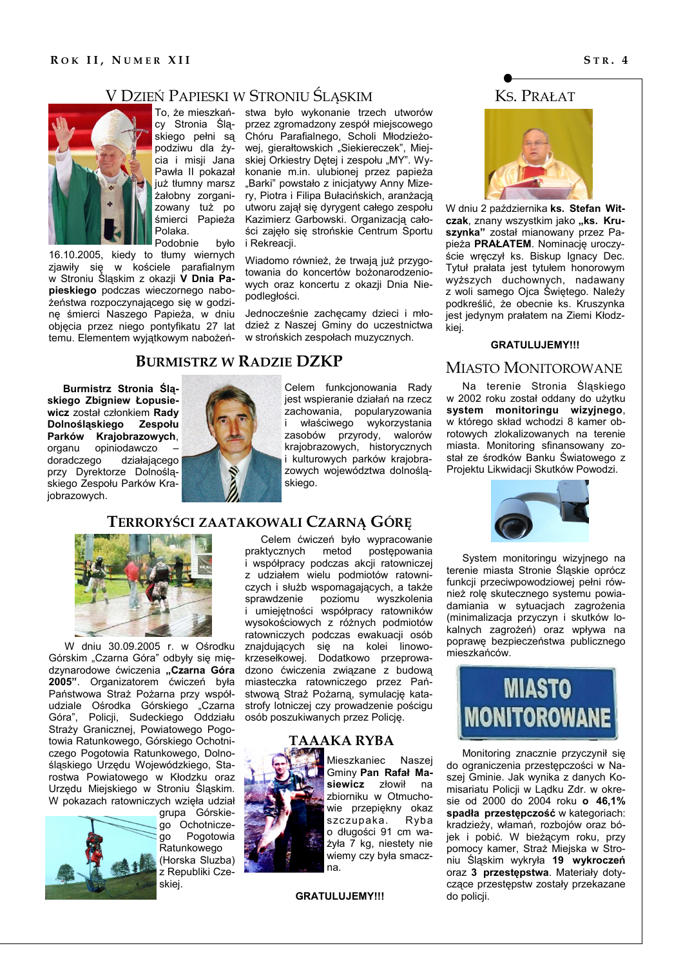#### V DZIEŃ PAPIESKI W STRONIU ŚLASKIM



cy Stronia Ślaskiego pełni są podziwu dla życia i misii Jana Pawła II pokazał już tłumny marsz żałobny zorganizowany tuż po<br>śmierci Papieża Polaka. Podobnie było

16.10.2005, kiedy to tłumy wiernych zjawiły się w kościele parafialnym w Stroniu Śląskim z okazji V Dnia Papieskiego podczas wieczornego nabożeństwa rozpoczynającego się w godzinę śmierci Naszego Papieża, w dniu objecia przez niego pontyfikatu 27 lat temu. Elementem wyjatkowym nabożeń-

To, że mieszkań- stwa było wykonanie trzech utworów przez zgromadzony zespół miejscowego Chóru Parafialnego, Scholi Młodzieżo-<br>wej, gierałtowskich "Siekiereczek", Miejskiej Orkiestry Detej i zespołu "MY". Wykonanie m.in. ulubionej przez papieża "Barki" powstało z iniciatywy Anny Mizery, Piotra i Filipa Bułacińskich, aranżacją utworu zajął się dyrygent całego zespołu Kazimierz Garbowski. Organizacją całości zajęło się strońskie Centrum Sportu i Rekreacji.

> Wiadomo również, że trwają już przygotowania do koncertów bożonarodzeniowych oraz koncertu z okazji Dnia Niepodległości.

> Jednocześnie zachęcamy dzieci i młodzież z Naszei Gminy do uczestnictwa w strońskich zespołach muzycznych.

#### **BURMISTRZ W RADZIE DZKP**

Burmistrz Stronia Ślaskiego Zbigniew Łopusiewicz został członkiem Rady Dolnośląskiego Zespołu Parków Krajobrazowych. organu opiniodawczo doradczego przy Dyrektorze Dolnoślaskiego Zespołu Parków Kra-



Celem funkcjonowania Rady jest wspieranie działań na rzecz zachowania, popularyzowania właściwego wykorzystania i. zasobów przyrody, walorów krajobrazowych, historycznych i kulturowych parków krajobrazowych województwa dolnośląskiego.

#### Terroryści zaatakowali Czarną Góre

Celem ćwiczeń było wypracowanie praktycznych metod postepowania i współpracy podczas akcji ratowniczej z udziałem wielu podmiotów ratowniczych i służb wspomagających, a także sprawdzenie poziomu wyszkolenia i umiejetności współpracy ratowników wysokościowych z różnych podmiotów ratowniczych podczas ewakuacji osób znajdujących się na kolei linowokrzesełkowej. Dodatkowo przeprowadzono ćwiczenia związane z budową miasteczka ratowniczego przez Państwową Straż Pożarną, symulację katastrofy lotniczej czy prowadzenie pościgu osób poszukiwanych przez Policję.

#### TAAAKA RYBA



Mieszkaniec Naszej Gminy Pan Rafał Masiewicz złowił na zbiorniku w Otmuchowie przepiekny okaz szczupaka. Ryba o długości 91 cm ważyła 7 kg, niestety nie wiemy czy była smaczna

#### **GRATULUJEMY!!!**

#### **KS. PRAŁAT**



W dniu 2 października ks. Stefan Witczak, znany wszystkim jako "ks. Kruszynka" został mianowany przez Papieża PRAŁATEM. Nominację uroczyście wręczył ks. Biskup Ignacy Dec. Tytuł prałata jest tytułem honorowym wyższych duchownych, nadawany z woli samego Ojca Świętego. Należy podkreślić, że obecnie ks. Kruszynka jest jedynym prałatem na Ziemi Kłodzkiei

#### **GRATULUJEMY!!!**

#### **MIASTO MONITOROWANE**

Na terenie Stronia Ślaskiego w 2002 roku został oddany do użytku system monitoringu wizyjnego, w którego skład wchodzi 8 kamer obrotowych zlokalizowanych na terenie miasta. Monitoring sfinansowany został ze środków Banku Światowego z Projektu Likwidacji Skutków Powodzi.



System monitoringu wizyjnego na terenie miasta Stronie Śląskie oprócz funkcji przeciwpowodziowej pełni również rolę skutecznego systemu powiadamiania w sytuacjach zagrożenia (minimalizacja przyczyn i skutków lokalnych zagrożeń) oraz wpływa na poprawę bezpieczeństwa publicznego mieszkańców.



Monitoring znacznie przyczynił sie do ograniczenia przestepczości w Naszej Gminie. Jak wynika z danych Komisariatu Policii w Ladku Zdr. w okresie od 2000 do 2004 roku o 46,1% spadła przestępczość w kategoriach: kradzieży, włamań, rozboiów oraz bójek i pobić. W bieżącym roku, przy pomocy kamer, Straż Miejska w Stroniu Śląskim wykryła 19 wykroczeń oraz 3 przestępstwa. Materiały dotyczące przestępstw zostały przekazane do policii.

# działającego jobrazowych.



W dniu 30.09.2005 r. w Ośrodku Górskim "Czarna Góra" odbyły się międzynarodowe ćwiczenia "Czarna Góra 2005". Organizatorem ćwiczeń była Państwowa Straż Pożarna przy współudziale Ośrodka Górskiego "Czarna<br>Góra", Policji, Sudeckiego Oddziału Straży Granicznej, Powiatowego Pogotowia Ratunkowego, Górskiego Ochotniczego Pogotowia Ratunkowego, Dolnośląskiego Urzędu Wojewódzkiego, Starostwa Powiatowego w Kłodzku oraz Urzedu Miejskiego w Stroniu Śląskim. W pokazach ratowniczych wzięła udział



grupa Górskiego Ochotnicze-Pogotowia go Ratunkowego (Horska Sluzba) z Republiki Czeskiej.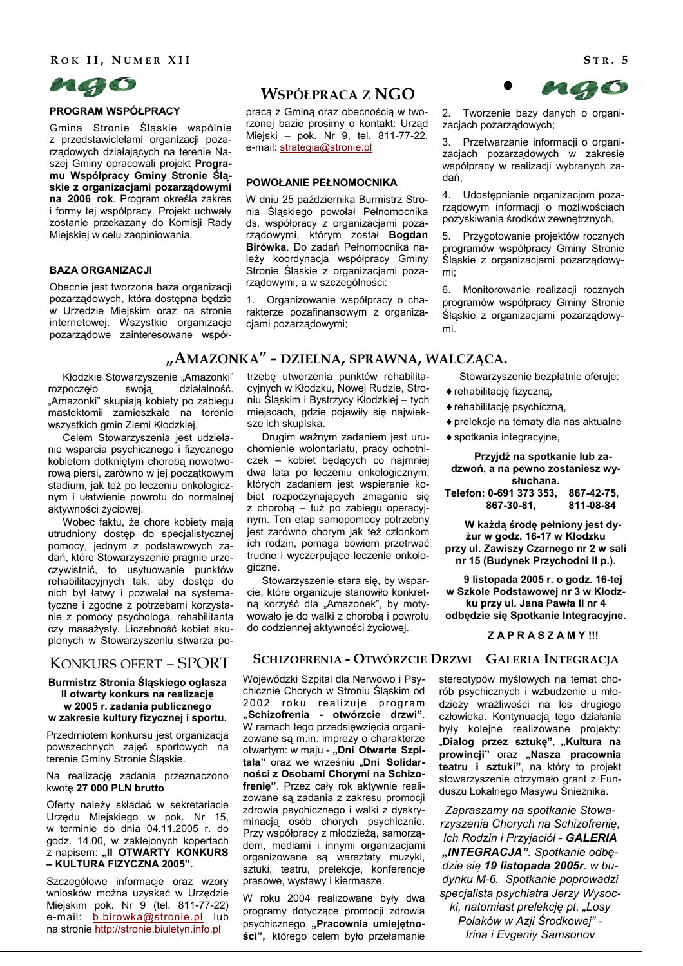ROK II, NUMER XII



#### PROGRAM WSPÓŁPRACY

Gmina Stronie Śląskie wspólnie z przedstawicielami organizacji pozarządowych działających na terenie Naszej Gminy opracowali projekt Programu Współpracy Gminy Stronie Śląskie z organizacjami pozarządowymi na 2006 rok. Program określa zakres i formy tej współpracy. Projekt uchwały zostanie przekazany do Komisji Rady Mieiskiei w celu zaopiniowania.

#### **BAZA ORGANIZACJI**

Obecnie jest tworzona baza organizacji pozarządowych, która dostępna będzie w Urzędzie Miejskim oraz na stronie internetowej. Wszystkie organizacje pozarządowe zainteresowane współ-

#### **WSPÓŁPRACA Z NGO**

praca z Gmina oraz obecnościa w tworzonej bazie prosimy o kontakt: Urząd Miejski - pok. Nr 9, tel. 811-77-22, e-mail: strategia@stronie.pl

#### POWOŁANIE PEŁNOMOCNIKA

W dniu 25 października Burmistrz Stronia Śląskiego powołał Pełnomocnika ds. współpracy z organizacjami pozarzadowymi. którym został Bogdan Birówka. Do zadań Pełnomocnika należy koordynacja współpracy Gminy Stronie Ślaskie z organizaciami pozarządowymi, a w szczególności:

 $1$ Organizowanie współpracy o charakterze pozafinansowym z organizacjami pozarządowymi;

ngo

Tworzenie bazy danych o organi- $2<sub>1</sub>$ zacjach pozarządowych;

Przetwarzanie informacji o organi- $3<sub>1</sub>$ zacjach pozarządowych w zakresie współpracy w realizacji wybranych zadań<sup>.</sup>

4. Udostępnianie organizacjom pozarządowym informacji o możliwościach pozyskiwania środków zewnętrznych,

Przygotowanie projektów rocznych  $5^{\circ}$ programów współpracy Gminy Stronie Śląskie z organizacjami pozarządowymi:

Monitorowanie realizacji rocznych 6. programów współpracy Gminy Stronie Śląskie z organizacjami pozarządowymi

#### "AMAZONKA" - DZIELNA, SPRAWNA, WALCZĄCA.

Kłodzkie Stowarzyszenie "Amazonki" działalność. rozpoczęło swoja "Amazonki" skupiają kobiety po zabiegu mastektomii zamieszkałe na terenie wszystkich gmin Ziemi Kłodzkiej.

Celem Stowarzyszenia iest udzielanie wsparcia psychicznego i fizycznego kobietom dotkniętym chorobą nowotworową piersi, zarówno w jej początkowym stadium, jak też po leczeniu onkologicznym i ułatwienie powrotu do normalnej aktywności życiowej.

Wobec faktu, że chore kobiety maja utrudniony dostęp do specjalistycznej pomocy, jednym z podstawowych zadań, które Stowarzyszenie pragnie urzeczywistnić, to usytuowanie punktów rehabilitacyjnych tak, aby dostęp do nich był łatwy i pozwalał na systematyczne i zgodne z potrzebami korzystanie z pomocy psychologa, rehabilitanta czy masażysty. Liczebność kobiet skupionych w Stowarzyszeniu stwarza po-

#### **KONKURS OFERT - SPORT**

#### Burmistrz Stronia Śląskiego ogłasza Il otwarty konkurs na realizację w 2005 r. zadania publicznego

w zakresie kultury fizycznej i sportu.

Przedmiotem konkursu jest organizacja powszechnych zajęć sportowych na terenie Gminy Stronie Śląskie.

#### Na realizacie zadania przeznaczono kwote 27 000 PLN brutto

Oferty należy składać w sekretariacie Urzędu Miejskiego w pok. Nr 15, w terminie do dnia 04.11.2005 r. do godz. 14.00, w zaklejonych kopertach z napisem: "II OTWARTY KONKURS - KULTURA FIZYCZNA 2005".

Szczegółowe informacje oraz wzory wniosków można uzyskać w Urzędzie Miejskim pok. Nr 9 (tel. 811-77-22) e-mail: b.birowka@stronie.pl lub na stronie http://stronie.biuletyn.info.pl

trzebę utworzenia punktów rehabilitacyjnych w Kłodzku, Nowej Rudzie, Stroniu Śląskim i Bystrzycy Kłodzkiej – tych miejscach, gdzie pojawiły się największe ich skupiska.

Drugim ważnym zadaniem jest uruchomienie wolontariatu, pracy ochotniczek - kobiet będących co najmniej dwa lata po leczeniu onkologicznym, których zadaniem jest wspieranie kobiet rozpoczynających zmaganie się z chorobą - tuż po zabiegu operacyjnym. Ten etap samopomocy potrzebny jest zarówno chorym jak też członkom ich rodzin, pomaga bowiem przetrwać trudne i wyczerpujące leczenie onkologiczne.

Stowarzyszenie stara się, by wsparcie, które organizuje stanowiło konkretną korzyść dla "Amazonek", by motywowało je do walki z chorobą i powrotu do codziennej aktywności życiowej.

#### SCHIZOFRENIA - OTWÓRZCIE DRZWI GALERIA INTEGRACJA

Wojewódzki Szpital dla Nerwowo i Psychicznie Chorych w Stroniu Śląskim od 2002 roku realizuje program "Schizofrenia - otwórzcie drzwi". W ramach tego przedsięwzięcia organizowane są m.in. imprezy o charakterze otwartym: w maju - "Dni Otwarte Szpitala" oraz we wrześniu "Dni Solidarności z Osobami Chorymi na Schizofrenie". Przez cały rok aktywnie realizowane sa zadania z zakresu promocji zdrowia psychicznego i walki z dyskryminacia osób chorych psychicznie. Przy współpracy z młodzieżą, samorządem, mediami i innymi organizacjami organizowane są warsztaty muzyki, sztuki, teatru, prelekcje, konferencje prasowe, wystawy i kiermasze.

W roku 2004 realizowane były dwa programy dotyczące promocji zdrowia psychicznego. "Pracownia umiejętności", którego celem było przełamanie Stowarzyszenie bezpłatnie oferuje:

- ◆ rehabilitację fizyczną,
- ◆ rehabilitację psychiczną,
- ◆ prelekcje na tematy dla nas aktualne
- ◆ spotkania integracyjne,

#### Przyjdź na spotkanie lub zadzwoń, a na pewno zostaniesz wysłuchana.

Telefon: 0-691 373 353, 867-42-75. 867-30-81, 811-08-84

W każda środe pełniony jest dvżur w godz. 16-17 w Kłodzku

przy ul. Zawiszy Czarnego nr 2 w sali nr 15 (Budynek Przychodni II p.).

9 listopada 2005 r. o godz. 16-tej w Szkole Podstawowej nr 3 w Kłodzku przy ul. Jana Pawła II nr 4 odbędzie się Spotkanie Integracyjne.

#### ZAPRASZAMY!!!

stereotypów myślowych na temat chorób psychicznych i wzbudzenie u młodzieży wrażliwości na los drugiego człowieka. Kontynuacją tego działania były kolejne realizowane projekty: "Dialog przez sztukę", "Kultura na prowincji" oraz "Nasza pracownia teatru i sztuki", na który to projekt stowarzyszenie otrzymało grant z Funduszu Lokalnego Masywu Śnieżnika.

Zapraszamy na spotkanie Stowarzyszenia Chorych na Schizofrenię, Ich Rodzin i Przyjaciół - GALERIA "INTEGRACJA". Spotkanie odbędzie się 19 listopada 2005r. w budynku M-6. Spotkanie poprowadzi specjalista psychiatra Jerzy Wysocki, natomiast prelekcję pt. "Losy

Polaków w Azii Środkowei" -Irina i Evgeniy Samsonov